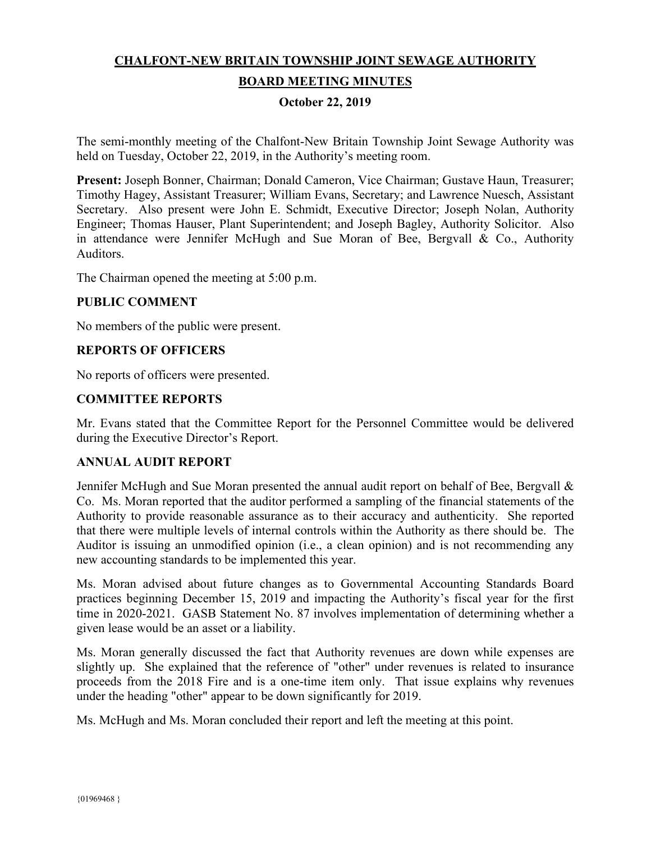# **CHALFONT-NEW BRITAIN TOWNSHIP JOINT SEWAGE AUTHORITY**

# **BOARD MEETING MINUTES**

#### **October 22, 2019**

The semi-monthly meeting of the Chalfont-New Britain Township Joint Sewage Authority was held on Tuesday, October 22, 2019, in the Authority's meeting room.

**Present:** Joseph Bonner, Chairman; Donald Cameron, Vice Chairman; Gustave Haun, Treasurer; Timothy Hagey, Assistant Treasurer; William Evans, Secretary; and Lawrence Nuesch, Assistant Secretary. Also present were John E. Schmidt, Executive Director; Joseph Nolan, Authority Engineer; Thomas Hauser, Plant Superintendent; and Joseph Bagley, Authority Solicitor. Also in attendance were Jennifer McHugh and Sue Moran of Bee, Bergvall & Co., Authority **Auditors** 

The Chairman opened the meeting at 5:00 p.m.

#### **PUBLIC COMMENT**

No members of the public were present.

### **REPORTS OF OFFICERS**

No reports of officers were presented.

### **COMMITTEE REPORTS**

Mr. Evans stated that the Committee Report for the Personnel Committee would be delivered during the Executive Director's Report.

#### **ANNUAL AUDIT REPORT**

Jennifer McHugh and Sue Moran presented the annual audit report on behalf of Bee, Bergvall  $\&$ Co. Ms. Moran reported that the auditor performed a sampling of the financial statements of the Authority to provide reasonable assurance as to their accuracy and authenticity. She reported that there were multiple levels of internal controls within the Authority as there should be. The Auditor is issuing an unmodified opinion (i.e., a clean opinion) and is not recommending any new accounting standards to be implemented this year.

Ms. Moran advised about future changes as to Governmental Accounting Standards Board practices beginning December 15, 2019 and impacting the Authority's fiscal year for the first time in 2020-2021. GASB Statement No. 87 involves implementation of determining whether a given lease would be an asset or a liability.

Ms. Moran generally discussed the fact that Authority revenues are down while expenses are slightly up. She explained that the reference of "other" under revenues is related to insurance proceeds from the 2018 Fire and is a one-time item only. That issue explains why revenues under the heading "other" appear to be down significantly for 2019.

Ms. McHugh and Ms. Moran concluded their report and left the meeting at this point.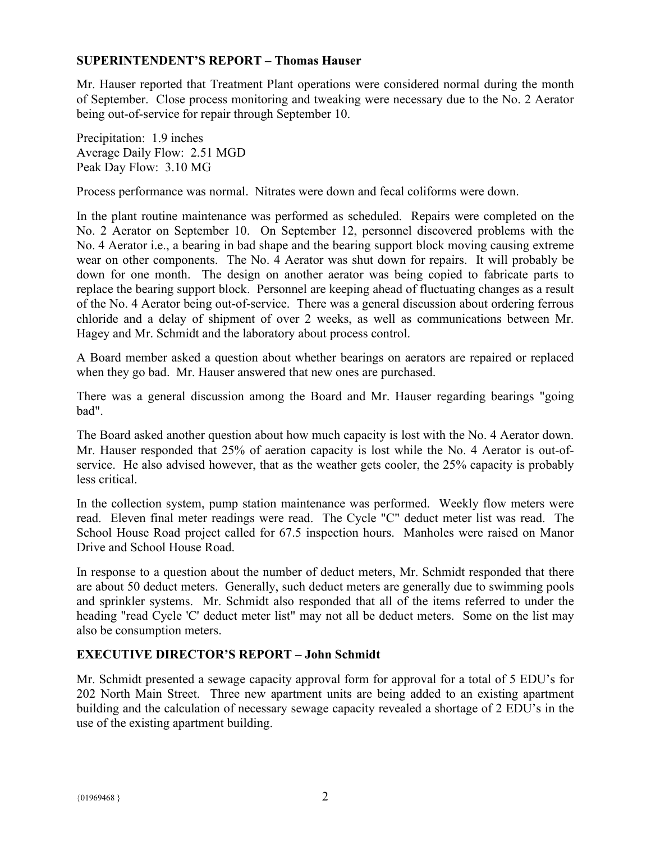#### **SUPERINTENDENT'S REPORT – Thomas Hauser**

Mr. Hauser reported that Treatment Plant operations were considered normal during the month of September. Close process monitoring and tweaking were necessary due to the No. 2 Aerator being out-of-service for repair through September 10.

Precipitation: 1.9 inches Average Daily Flow: 2.51 MGD Peak Day Flow: 3.10 MG

Process performance was normal. Nitrates were down and fecal coliforms were down.

In the plant routine maintenance was performed as scheduled. Repairs were completed on the No. 2 Aerator on September 10. On September 12, personnel discovered problems with the No. 4 Aerator i.e., a bearing in bad shape and the bearing support block moving causing extreme wear on other components. The No. 4 Aerator was shut down for repairs. It will probably be down for one month. The design on another aerator was being copied to fabricate parts to replace the bearing support block. Personnel are keeping ahead of fluctuating changes as a result of the No. 4 Aerator being out-of-service. There was a general discussion about ordering ferrous chloride and a delay of shipment of over 2 weeks, as well as communications between Mr. Hagey and Mr. Schmidt and the laboratory about process control.

A Board member asked a question about whether bearings on aerators are repaired or replaced when they go bad. Mr. Hauser answered that new ones are purchased.

There was a general discussion among the Board and Mr. Hauser regarding bearings "going bad".

The Board asked another question about how much capacity is lost with the No. 4 Aerator down. Mr. Hauser responded that 25% of aeration capacity is lost while the No. 4 Aerator is out-ofservice. He also advised however, that as the weather gets cooler, the 25% capacity is probably less critical.

In the collection system, pump station maintenance was performed. Weekly flow meters were read. Eleven final meter readings were read. The Cycle "C" deduct meter list was read. The School House Road project called for 67.5 inspection hours. Manholes were raised on Manor Drive and School House Road.

In response to a question about the number of deduct meters, Mr. Schmidt responded that there are about 50 deduct meters. Generally, such deduct meters are generally due to swimming pools and sprinkler systems. Mr. Schmidt also responded that all of the items referred to under the heading "read Cycle 'C' deduct meter list" may not all be deduct meters. Some on the list may also be consumption meters.

# **EXECUTIVE DIRECTOR'S REPORT – John Schmidt**

Mr. Schmidt presented a sewage capacity approval form for approval for a total of 5 EDU's for 202 North Main Street. Three new apartment units are being added to an existing apartment building and the calculation of necessary sewage capacity revealed a shortage of 2 EDU's in the use of the existing apartment building.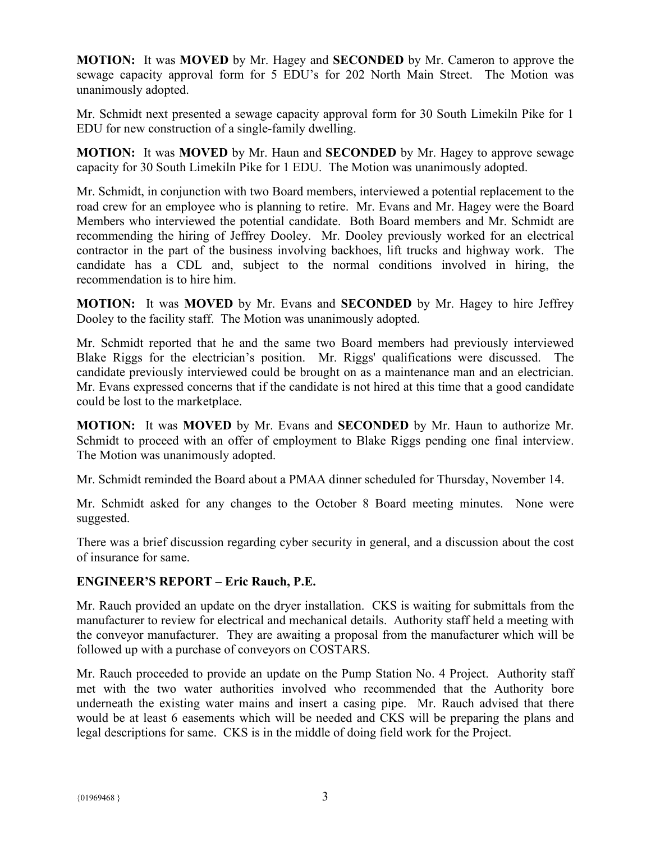**MOTION:** It was **MOVED** by Mr. Hagey and **SECONDED** by Mr. Cameron to approve the sewage capacity approval form for 5 EDU's for 202 North Main Street. The Motion was unanimously adopted.

Mr. Schmidt next presented a sewage capacity approval form for 30 South Limekiln Pike for 1 EDU for new construction of a single-family dwelling.

**MOTION:** It was **MOVED** by Mr. Haun and **SECONDED** by Mr. Hagey to approve sewage capacity for 30 South Limekiln Pike for 1 EDU. The Motion was unanimously adopted.

Mr. Schmidt, in conjunction with two Board members, interviewed a potential replacement to the road crew for an employee who is planning to retire. Mr. Evans and Mr. Hagey were the Board Members who interviewed the potential candidate. Both Board members and Mr. Schmidt are recommending the hiring of Jeffrey Dooley. Mr. Dooley previously worked for an electrical contractor in the part of the business involving backhoes, lift trucks and highway work. The candidate has a CDL and, subject to the normal conditions involved in hiring, the recommendation is to hire him.

**MOTION:** It was **MOVED** by Mr. Evans and **SECONDED** by Mr. Hagey to hire Jeffrey Dooley to the facility staff. The Motion was unanimously adopted.

Mr. Schmidt reported that he and the same two Board members had previously interviewed Blake Riggs for the electrician's position. Mr. Riggs' qualifications were discussed. The candidate previously interviewed could be brought on as a maintenance man and an electrician. Mr. Evans expressed concerns that if the candidate is not hired at this time that a good candidate could be lost to the marketplace.

**MOTION:** It was **MOVED** by Mr. Evans and **SECONDED** by Mr. Haun to authorize Mr. Schmidt to proceed with an offer of employment to Blake Riggs pending one final interview. The Motion was unanimously adopted.

Mr. Schmidt reminded the Board about a PMAA dinner scheduled for Thursday, November 14.

Mr. Schmidt asked for any changes to the October 8 Board meeting minutes. None were suggested.

There was a brief discussion regarding cyber security in general, and a discussion about the cost of insurance for same.

# **ENGINEER'S REPORT – Eric Rauch, P.E.**

Mr. Rauch provided an update on the dryer installation. CKS is waiting for submittals from the manufacturer to review for electrical and mechanical details. Authority staff held a meeting with the conveyor manufacturer. They are awaiting a proposal from the manufacturer which will be followed up with a purchase of conveyors on COSTARS.

Mr. Rauch proceeded to provide an update on the Pump Station No. 4 Project. Authority staff met with the two water authorities involved who recommended that the Authority bore underneath the existing water mains and insert a casing pipe. Mr. Rauch advised that there would be at least 6 easements which will be needed and CKS will be preparing the plans and legal descriptions for same. CKS is in the middle of doing field work for the Project.